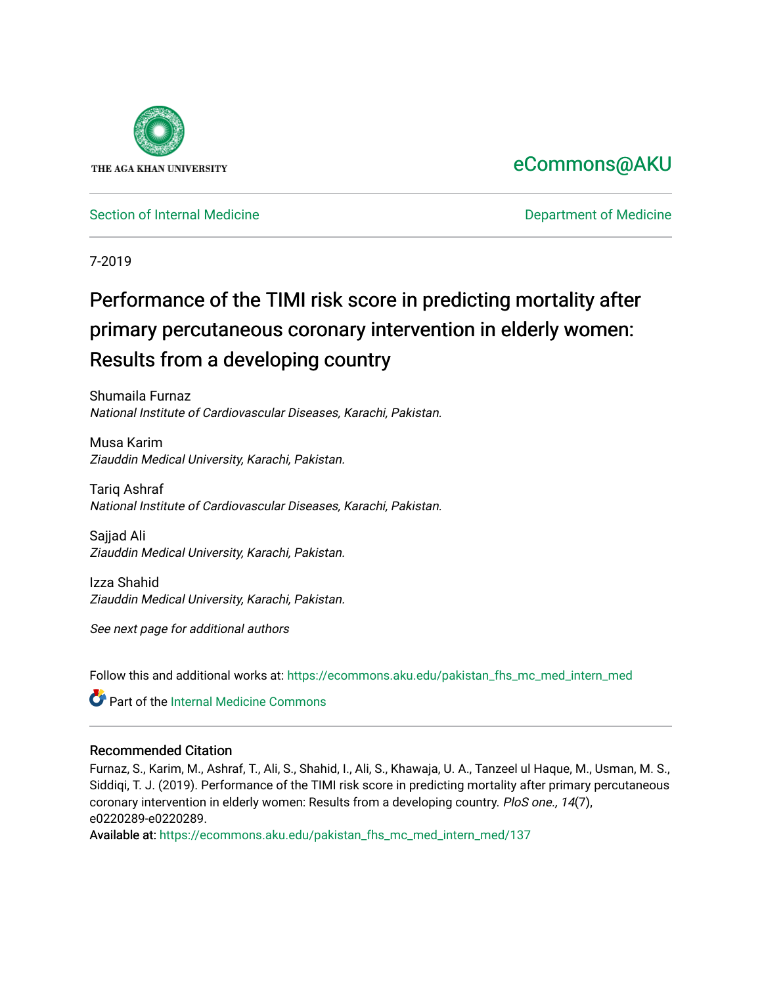

# [eCommons@AKU](https://ecommons.aku.edu/)

[Section of Internal Medicine](https://ecommons.aku.edu/pakistan_fhs_mc_med_intern_med) **Department of Medicine** Department of Medicine

7-2019

# Performance of the TIMI risk score in predicting mortality after primary percutaneous coronary intervention in elderly women: Results from a developing country

Shumaila Furnaz National Institute of Cardiovascular Diseases, Karachi, Pakistan.

Musa Karim Ziauddin Medical University, Karachi, Pakistan.

Tariq Ashraf National Institute of Cardiovascular Diseases, Karachi, Pakistan.

Sajjad Ali Ziauddin Medical University, Karachi, Pakistan.

Izza Shahid Ziauddin Medical University, Karachi, Pakistan.

See next page for additional authors

Follow this and additional works at: [https://ecommons.aku.edu/pakistan\\_fhs\\_mc\\_med\\_intern\\_med](https://ecommons.aku.edu/pakistan_fhs_mc_med_intern_med?utm_source=ecommons.aku.edu%2Fpakistan_fhs_mc_med_intern_med%2F137&utm_medium=PDF&utm_campaign=PDFCoverPages) 

Part of the [Internal Medicine Commons](http://network.bepress.com/hgg/discipline/1356?utm_source=ecommons.aku.edu%2Fpakistan_fhs_mc_med_intern_med%2F137&utm_medium=PDF&utm_campaign=PDFCoverPages)

# Recommended Citation

Furnaz, S., Karim, M., Ashraf, T., Ali, S., Shahid, I., Ali, S., Khawaja, U. A., Tanzeel ul Haque, M., Usman, M. S., Siddiqi, T. J. (2019). Performance of the TIMI risk score in predicting mortality after primary percutaneous coronary intervention in elderly women: Results from a developing country. PloS one., 14(7), e0220289-e0220289.

Available at: [https://ecommons.aku.edu/pakistan\\_fhs\\_mc\\_med\\_intern\\_med/137](https://ecommons.aku.edu/pakistan_fhs_mc_med_intern_med/137)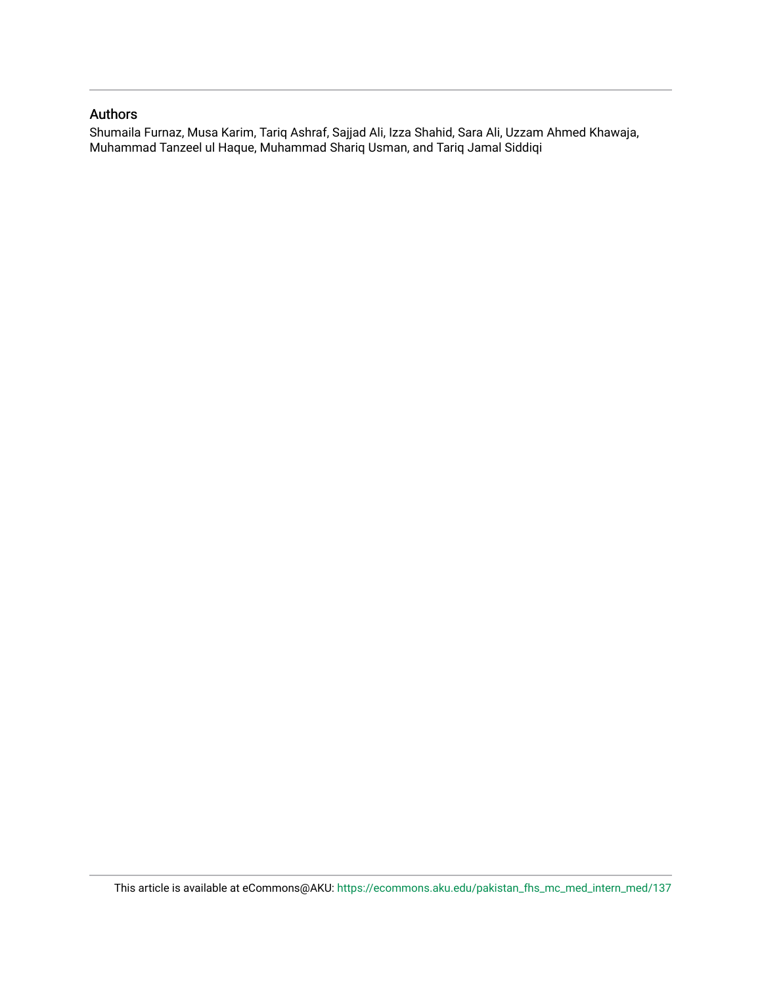#### Authors

Shumaila Furnaz, Musa Karim, Tariq Ashraf, Sajjad Ali, Izza Shahid, Sara Ali, Uzzam Ahmed Khawaja, Muhammad Tanzeel ul Haque, Muhammad Shariq Usman, and Tariq Jamal Siddiqi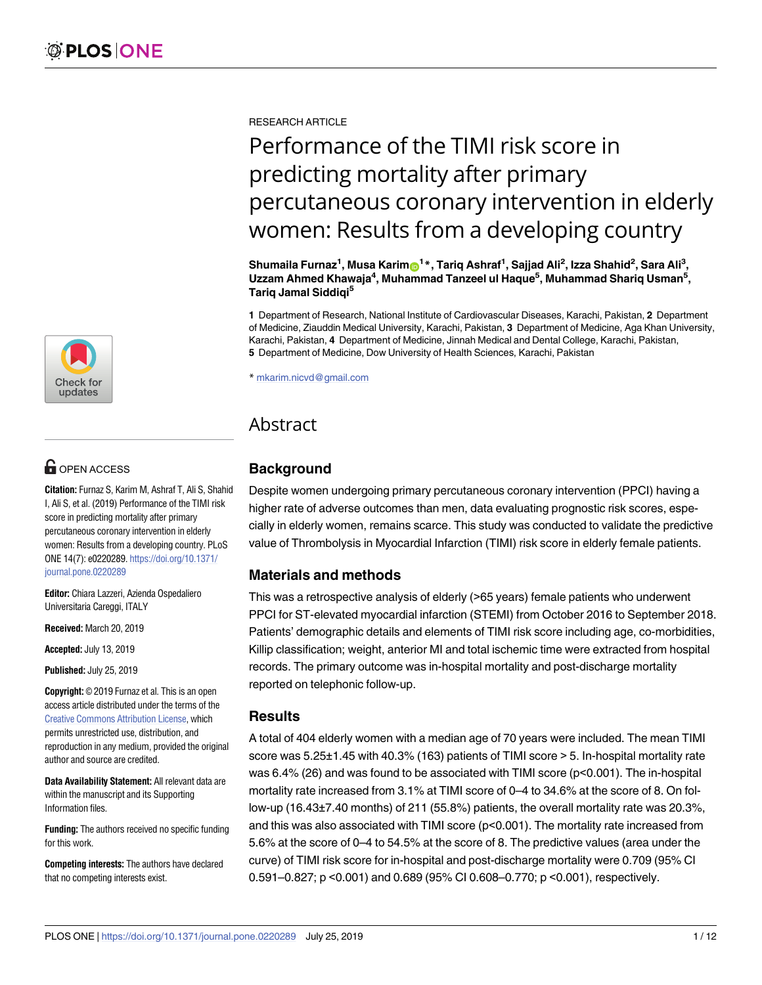

# **OPEN ACCESS**

**Citation:** Furnaz S, Karim M, Ashraf T, Ali S, Shahid I, Ali S, et al. (2019) Performance of the TIMI risk score in predicting mortality after primary percutaneous coronary intervention in elderly women: Results from a developing country. PLoS ONE 14(7): e0220289. [https://doi.org/10.1371/](https://doi.org/10.1371/journal.pone.0220289) [journal.pone.0220289](https://doi.org/10.1371/journal.pone.0220289)

**Editor:** Chiara Lazzeri, Azienda Ospedaliero Universitaria Careggi, ITALY

**Received:** March 20, 2019

**Accepted:** July 13, 2019

**Published:** July 25, 2019

**Copyright:** © 2019 Furnaz et al. This is an open access article distributed under the terms of the Creative Commons [Attribution](http://creativecommons.org/licenses/by/4.0/) License, which permits unrestricted use, distribution, and reproduction in any medium, provided the original author and source are credited.

**Data Availability Statement:** All relevant data are within the manuscript and its Supporting Information files.

**Funding:** The authors received no specific funding for this work.

**Competing interests:** The authors have declared that no competing interests exist.

RESEARCH ARTICLE

# Performance of the TIMI risk score in predicting mortality after primary percutaneous coronary intervention in elderly women: Results from a developing country

Shumaila Furnaz<sup>1</sup>, Musa Karim®<sup>1</sup>\*, Tariq Ashraf<sup>1</sup>, Sajjad Ali<sup>2</sup>, Izza Shahid<sup>2</sup>, Sara Ali<sup>3</sup>, **Uzzam Ahmed Khawaja4 , Muhammad Tanzeel ul Haque5 , Muhammad Shariq Usman5 , Tariq Jamal Siddiqi5**

**1** Department of Research, National Institute of Cardiovascular Diseases, Karachi, Pakistan, **2** Department of Medicine, Ziauddin Medical University, Karachi, Pakistan, **3** Department of Medicine, Aga Khan University, Karachi, Pakistan, **4** Department of Medicine, Jinnah Medical and Dental College, Karachi, Pakistan, **5** Department of Medicine, Dow University of Health Sciences, Karachi, Pakistan

\* mkarim.nicvd@gmail.com

# Abstract

# **Background**

Despite women undergoing primary percutaneous coronary intervention (PPCI) having a higher rate of adverse outcomes than men, data evaluating prognostic risk scores, especially in elderly women, remains scarce. This study was conducted to validate the predictive value of Thrombolysis in Myocardial Infarction (TIMI) risk score in elderly female patients.

# **Materials and methods**

This was a retrospective analysis of elderly (>65 years) female patients who underwent PPCI for ST-elevated myocardial infarction (STEMI) from October 2016 to September 2018. Patients' demographic details and elements of TIMI risk score including age, co-morbidities, Killip classification; weight, anterior MI and total ischemic time were extracted from hospital records. The primary outcome was in-hospital mortality and post-discharge mortality reported on telephonic follow-up.

# **Results**

A total of 404 elderly women with a median age of 70 years were included. The mean TIMI score was 5.25±1.45 with 40.3% (163) patients of TIMI score > 5. In-hospital mortality rate was 6.4% (26) and was found to be associated with TIMI score (p<0.001). The in-hospital mortality rate increased from 3.1% at TIMI score of 0–4 to 34.6% at the score of 8. On follow-up (16.43±7.40 months) of 211 (55.8%) patients, the overall mortality rate was 20.3%, and this was also associated with TIMI score (p<0.001). The mortality rate increased from 5.6% at the score of 0–4 to 54.5% at the score of 8. The predictive values (area under the curve) of TIMI risk score for in-hospital and post-discharge mortality were 0.709 (95% CI 0.591–0.827; p <0.001) and 0.689 (95% CI 0.608–0.770; p <0.001), respectively.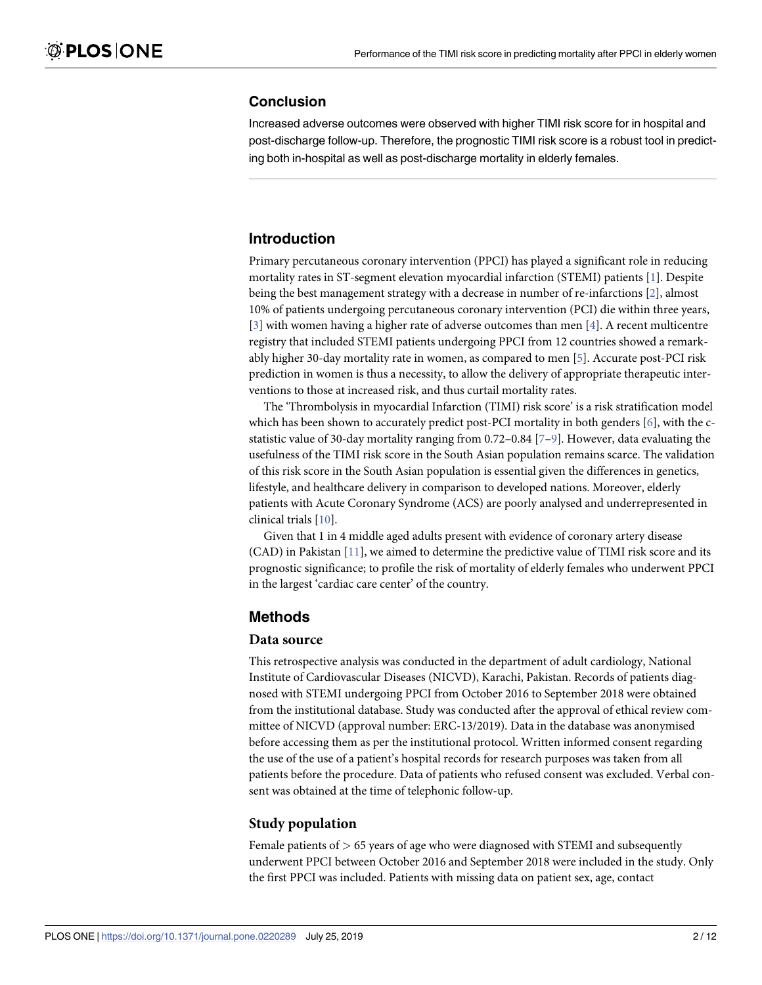#### <span id="page-3-0"></span>**Conclusion**

Increased adverse outcomes were observed with higher TIMI risk score for in hospital and post-discharge follow-up. Therefore, the prognostic TIMI risk score is a robust tool in predicting both in-hospital as well as post-discharge mortality in elderly females.

# **Introduction**

Primary percutaneous coronary intervention (PPCI) has played a significant role in reducing mortality rates in ST-segment elevation myocardial infarction (STEMI) patients [[1](#page-11-0)]. Despite being the best management strategy with a decrease in number of re-infarctions [\[2\]](#page-11-0), almost 10% of patients undergoing percutaneous coronary intervention (PCI) die within three years, [\[3](#page-11-0)] with women having a higher rate of adverse outcomes than men [[4\]](#page-11-0). A recent multicentre registry that included STEMI patients undergoing PPCI from 12 countries showed a remarkably higher 30-day mortality rate in women, as compared to men [[5](#page-12-0)]. Accurate post-PCI risk prediction in women is thus a necessity, to allow the delivery of appropriate therapeutic interventions to those at increased risk, and thus curtail mortality rates.

The 'Thrombolysis in myocardial Infarction (TIMI) risk score' is a risk stratification model which has been shown to accurately predict post-PCI mortality in both genders  $[6]$ , with the cstatistic value of 30-day mortality ranging from 0.72–0.84 [\[7–9\]](#page-12-0). However, data evaluating the usefulness of the TIMI risk score in the South Asian population remains scarce. The validation of this risk score in the South Asian population is essential given the differences in genetics, lifestyle, and healthcare delivery in comparison to developed nations. Moreover, elderly patients with Acute Coronary Syndrome (ACS) are poorly analysed and underrepresented in clinical trials [\[10\]](#page-12-0).

Given that 1 in 4 middle aged adults present with evidence of coronary artery disease (CAD) in Pakistan [[11](#page-12-0)], we aimed to determine the predictive value of TIMI risk score and its prognostic significance; to profile the risk of mortality of elderly females who underwent PPCI in the largest 'cardiac care center' of the country.

#### **Methods**

#### **Data source**

This retrospective analysis was conducted in the department of adult cardiology, National Institute of Cardiovascular Diseases (NICVD), Karachi, Pakistan. Records of patients diagnosed with STEMI undergoing PPCI from October 2016 to September 2018 were obtained from the institutional database. Study was conducted after the approval of ethical review committee of NICVD (approval number: ERC-13/2019). Data in the database was anonymised before accessing them as per the institutional protocol. Written informed consent regarding the use of the use of a patient's hospital records for research purposes was taken from all patients before the procedure. Data of patients who refused consent was excluded. Verbal consent was obtained at the time of telephonic follow-up.

#### **Study population**

Female patients of *>* 65 years of age who were diagnosed with STEMI and subsequently underwent PPCI between October 2016 and September 2018 were included in the study. Only the first PPCI was included. Patients with missing data on patient sex, age, contact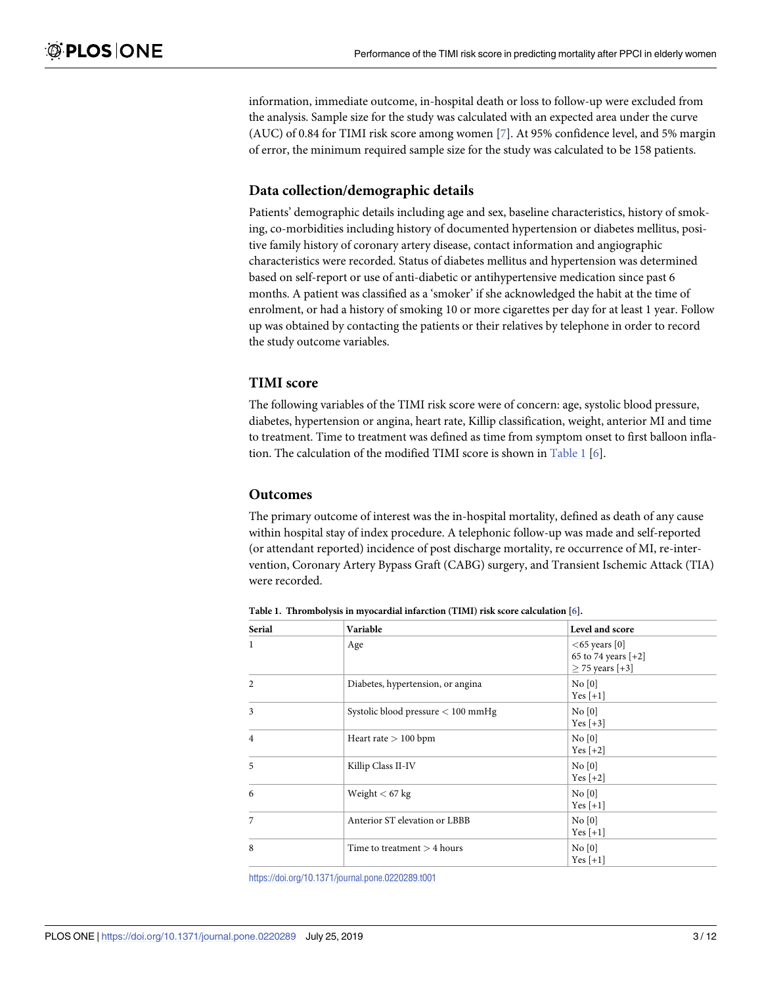information, immediate outcome, in-hospital death or loss to follow-up were excluded from the analysis. Sample size for the study was calculated with an expected area under the curve (AUC) of 0.84 for TIMI risk score among women [\[7\]](#page-12-0). At 95% confidence level, and 5% margin of error, the minimum required sample size for the study was calculated to be 158 patients.

#### **Data collection/demographic details**

Patients' demographic details including age and sex, baseline characteristics, history of smoking, co-morbidities including history of documented hypertension or diabetes mellitus, positive family history of coronary artery disease, contact information and angiographic characteristics were recorded. Status of diabetes mellitus and hypertension was determined based on self-report or use of anti-diabetic or antihypertensive medication since past 6 months. A patient was classified as a 'smoker' if she acknowledged the habit at the time of enrolment, or had a history of smoking 10 or more cigarettes per day for at least 1 year. Follow up was obtained by contacting the patients or their relatives by telephone in order to record the study outcome variables.

#### **TIMI score**

The following variables of the TIMI risk score were of concern: age, systolic blood pressure, diabetes, hypertension or angina, heart rate, Killip classification, weight, anterior MI and time to treatment. Time to treatment was defined as time from symptom onset to first balloon inflation. The calculation of the modified TIMI score is shown in Table 1 [[6\]](#page-12-0).

#### **Outcomes**

The primary outcome of interest was the in-hospital mortality, defined as death of any cause within hospital stay of index procedure. A telephonic follow-up was made and self-reported (or attendant reported) incidence of post discharge mortality, re occurrence of MI, re-intervention, Coronary Artery Bypass Graft (CABG) surgery, and Transient Ischemic Attack (TIA) were recorded.

| <b>Serial</b>  | Variable                           | Level and score                                               |
|----------------|------------------------------------|---------------------------------------------------------------|
| $\mathbf{1}$   | Age                                | $<65$ years [0]<br>65 to 74 years $[-2]$<br>$>$ 75 years [+3] |
| $\overline{2}$ | Diabetes, hypertension, or angina  | No [0]<br>$Yes [+1]$                                          |
| 3              | Systolic blood pressure < 100 mmHg | No [0]<br>Yes $[+3]$                                          |
| $\overline{4}$ | Heart rate $> 100$ bpm             | No [0]<br>Yes $[+2]$                                          |
| 5              | Killip Class II-IV                 | No [0]<br>Yes $[+2]$                                          |
| 6              | Weight $< 67 kg$                   | No [0]<br>Yes $[+1]$                                          |
| 7              | Anterior ST elevation or LBBB      | No [0]<br>$Yes [+1]$                                          |
| 8              | Time to treatment $>$ 4 hours      | No [0]<br>Yes $[+1]$                                          |

**Table 1. Thrombolysis in myocardial infarction (TIMI) risk score calculation [[6\]](#page-12-0).**

<https://doi.org/10.1371/journal.pone.0220289.t001>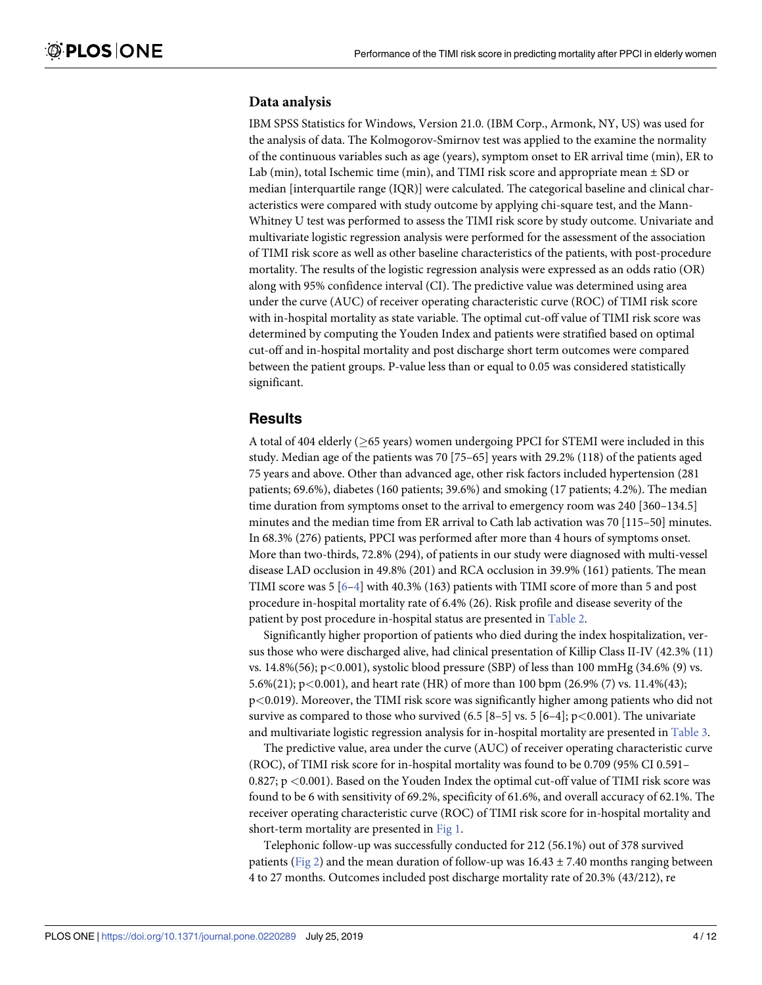#### <span id="page-5-0"></span>**Data analysis**

IBM SPSS Statistics for Windows, Version 21.0. (IBM Corp., Armonk, NY, US) was used for the analysis of data. The Kolmogorov-Smirnov test was applied to the examine the normality of the continuous variables such as age (years), symptom onset to ER arrival time (min), ER to Lab (min), total Ischemic time (min), and TIMI risk score and appropriate mean  $\pm$  SD or median [interquartile range (IQR)] were calculated. The categorical baseline and clinical characteristics were compared with study outcome by applying chi-square test, and the Mann-Whitney U test was performed to assess the TIMI risk score by study outcome. Univariate and multivariate logistic regression analysis were performed for the assessment of the association of TIMI risk score as well as other baseline characteristics of the patients, with post-procedure mortality. The results of the logistic regression analysis were expressed as an odds ratio (OR) along with 95% confidence interval (CI). The predictive value was determined using area under the curve (AUC) of receiver operating characteristic curve (ROC) of TIMI risk score with in-hospital mortality as state variable. The optimal cut-off value of TIMI risk score was determined by computing the Youden Index and patients were stratified based on optimal cut-off and in-hospital mortality and post discharge short term outcomes were compared between the patient groups. P-value less than or equal to 0.05 was considered statistically significant.

#### **Results**

A total of 404 elderly ( $\geq$ 65 years) women undergoing PPCI for STEMI were included in this study. Median age of the patients was 70 [75–65] years with 29.2% (118) of the patients aged 75 years and above. Other than advanced age, other risk factors included hypertension (281 patients; 69.6%), diabetes (160 patients; 39.6%) and smoking (17 patients; 4.2%). The median time duration from symptoms onset to the arrival to emergency room was 240 [360–134.5] minutes and the median time from ER arrival to Cath lab activation was 70 [115–50] minutes. In 68.3% (276) patients, PPCI was performed after more than 4 hours of symptoms onset. More than two-thirds, 72.8% (294), of patients in our study were diagnosed with multi-vessel disease LAD occlusion in 49.8% (201) and RCA occlusion in 39.9% (161) patients. The mean TIMI score was  $5[6-4]$  $5[6-4]$  $5[6-4]$  with 40.3% (163) patients with TIMI score of more than 5 and post procedure in-hospital mortality rate of 6.4% (26). Risk profile and disease severity of the patient by post procedure in-hospital status are presented in [Table](#page-6-0) 2.

Significantly higher proportion of patients who died during the index hospitalization, versus those who were discharged alive, had clinical presentation of Killip Class II-IV (42.3% (11) vs. 14.8%(56); p*<*0.001), systolic blood pressure (SBP) of less than 100 mmHg (34.6% (9) vs. 5.6%(21); p*<*0.001), and heart rate (HR) of more than 100 bpm (26.9% (7) vs. 11.4%(43); p*<*0.019). Moreover, the TIMI risk score was significantly higher among patients who did not survive as compared to those who survived (6.5 [8–5] vs. 5 [6–4]; p*<*0.001). The univariate and multivariate logistic regression analysis for in-hospital mortality are presented in [Table](#page-7-0) 3.

The predictive value, area under the curve (AUC) of receiver operating characteristic curve (ROC), of TIMI risk score for in-hospital mortality was found to be 0.709 (95% CI 0.591– 0.827; p *<*0.001). Based on the Youden Index the optimal cut-off value of TIMI risk score was found to be 6 with sensitivity of 69.2%, specificity of 61.6%, and overall accuracy of 62.1%. The receiver operating characteristic curve (ROC) of TIMI risk score for in-hospital mortality and short-term mortality are presented in [Fig](#page-7-0) 1.

Telephonic follow-up was successfully conducted for 212 (56.1%) out of 378 survived patients [\(Fig](#page-8-0) 2) and the mean duration of follow-up was  $16.43 \pm 7.40$  months ranging between 4 to 27 months. Outcomes included post discharge mortality rate of 20.3% (43/212), re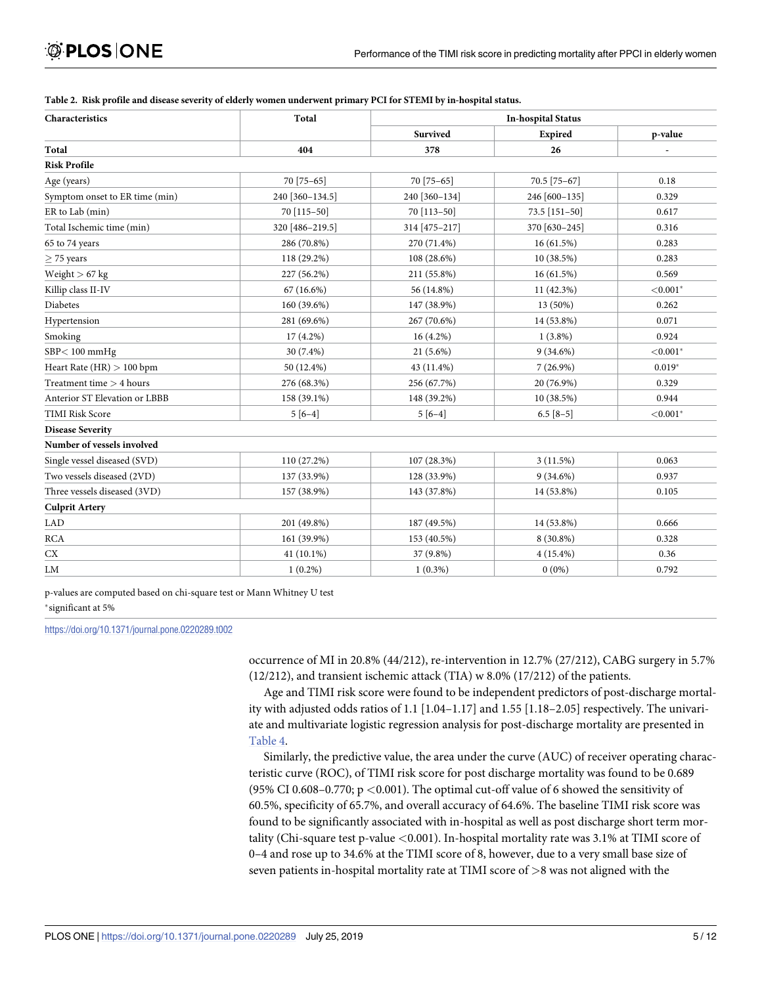| Characteristics                | Total           | <b>In-hospital Status</b> |                 |             |
|--------------------------------|-----------------|---------------------------|-----------------|-------------|
|                                |                 | Survived                  | Expired         | p-value     |
| Total                          | 404             | 378                       | 26              |             |
| <b>Risk Profile</b>            |                 |                           |                 |             |
| Age (years)                    | 70 [75-65]      | 70 [75-65]                | 70.5 [75-67]    | 0.18        |
| Symptom onset to ER time (min) | 240 [360-134.5] | 240 [360-134]             | 246 [600-135]   | 0.329       |
| ER to Lab (min)                | 70 [115-50]     | 70 [113-50]               | $73.5$ [151-50] | 0.617       |
| Total Ischemic time (min)      | 320 [486-219.5] | 314 [475-217]             | 370 [630-245]   | 0.316       |
| 65 to 74 years                 | 286 (70.8%)     | 270 (71.4%)               | 16(61.5%)       | 0.283       |
| $\geq$ 75 years                | 118 (29.2%)     | 108 (28.6%)               | 10 (38.5%)      | 0.283       |
| Weight $> 67$ kg               | 227 (56.2%)     | 211 (55.8%)               | 16(61.5%)       | 0.569       |
| Killip class II-IV             | $67(16.6\%)$    | 56 (14.8%)                | 11 (42.3%)      | ${<}0.001*$ |
| Diabetes                       | 160 (39.6%)     | 147 (38.9%)               | 13 (50%)        | 0.262       |
| Hypertension                   | 281 (69.6%)     | 267 (70.6%)               | 14 (53.8%)      | 0.071       |
| Smoking                        | 17 (4.2%)       | $16(4.2\%)$               | $1(3.8\%)$      | 0.924       |
| $SBP<100$ mmHg                 | 30 (7.4%)       | $21(5.6\%)$               | $9(34.6\%)$     | ${<}0.001*$ |
| Heart Rate $(HR) > 100$ bpm    | 50 (12.4%)      | 43 (11.4%)                | $7(26.9\%)$     | $0.019*$    |
| Treatment time $>$ 4 hours     | 276 (68.3%)     | 256 (67.7%)               | 20 (76.9%)      | 0.329       |
| Anterior ST Elevation or LBBB  | 158 (39.1%)     | 148 (39.2%)               | 10 (38.5%)      | 0.944       |
| <b>TIMI Risk Score</b>         | $5[6-4]$        | $5[6-4]$                  | $6.5$ [8-5]     | ${<}0.001*$ |
| <b>Disease Severity</b>        |                 |                           |                 |             |
| Number of vessels involved     |                 |                           |                 |             |
| Single vessel diseased (SVD)   | 110 (27.2%)     | 107 (28.3%)               | 3(11.5%)        | 0.063       |
| Two vessels diseased (2VD)     | 137 (33.9%)     | 128 (33.9%)               | $9(34.6\%)$     | 0.937       |
| Three vessels diseased (3VD)   | 157 (38.9%)     | 143 (37.8%)               | 14 (53.8%)      | 0.105       |
| <b>Culprit Artery</b>          |                 |                           |                 |             |
| <b>LAD</b>                     | 201 (49.8%)     | 187 (49.5%)               | 14 (53.8%)      | 0.666       |
| <b>RCA</b>                     | 161 (39.9%)     | 153 (40.5%)               | 8 (30.8%)       | 0.328       |
| CX                             | $41(10.1\%)$    | 37 (9.8%)                 | $4(15.4\%)$     | 0.36        |
| LM                             | $1(0.2\%)$      | $1(0.3\%)$                | $0(0\%)$        | 0.792       |

<span id="page-6-0"></span>[Table](#page-5-0) 2. Risk profile and disease severity of elderly women underwent primary PCI for STEMI by in-hospital status.

p-values are computed based on chi-square test or Mann Whitney U test �significant at 5%

<https://doi.org/10.1371/journal.pone.0220289.t002>

occurrence of MI in 20.8% (44/212), re-intervention in 12.7% (27/212), CABG surgery in 5.7% (12/212), and transient ischemic attack (TIA) w 8.0% (17/212) of the patients.

Age and TIMI risk score were found to be independent predictors of post-discharge mortality with adjusted odds ratios of 1.1 [1.04–1.17] and 1.55 [1.18–2.05] respectively. The univariate and multivariate logistic regression analysis for post-discharge mortality are presented in [Table](#page-8-0) 4.

Similarly, the predictive value, the area under the curve (AUC) of receiver operating characteristic curve (ROC), of TIMI risk score for post discharge mortality was found to be 0.689 (95% CI 0.608–0.770; p *<*0.001). The optimal cut-off value of 6 showed the sensitivity of 60.5%, specificity of 65.7%, and overall accuracy of 64.6%. The baseline TIMI risk score was found to be significantly associated with in-hospital as well as post discharge short term mortality (Chi-square test p-value *<*0.001). In-hospital mortality rate was 3.1% at TIMI score of 0–4 and rose up to 34.6% at the TIMI score of 8, however, due to a very small base size of seven patients in-hospital mortality rate at TIMI score of *>*8 was not aligned with the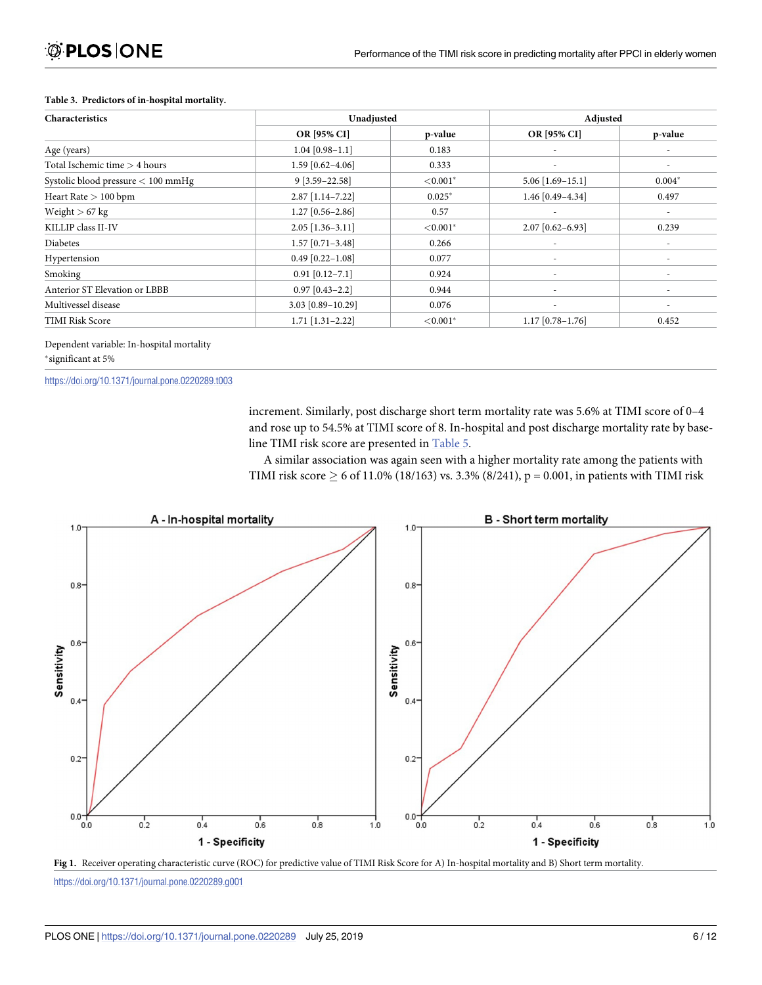| Characteristics                    | Unadjusted         |             | Adjusted           |                          |
|------------------------------------|--------------------|-------------|--------------------|--------------------------|
|                                    | OR [95% CI]        | p-value     | OR [95% CI]        | p-value                  |
| Age (years)                        | $1.04$ [0.98-1.1]  | 0.183       |                    |                          |
| Total Ischemic time > 4 hours      | $1.59$ [0.62-4.06] | 0.333       |                    | $\overline{\phantom{a}}$ |
| Systolic blood pressure < 100 mmHg | $9[3.59-22.58]$    | ${<}0.001*$ | $5.06$ [1.69-15.1] | $0.004*$                 |
| Heart Rate $> 100$ bpm             | $2.87$ [1.14-7.22] | $0.025*$    | 1.46 [0.49-4.34]   | 0.497                    |
| Weight $> 67$ kg                   | $1.27$ [0.56-2.86] | 0.57        |                    |                          |
| KILLIP class II-IV                 | $2.05$ [1.36-3.11] | ${<}0.001*$ | 2.07 [0.62-6.93]   | 0.239                    |
| Diabetes                           | $1.57$ [0.71-3.48] | 0.266       |                    |                          |
| Hypertension                       | $0.49$ [0.22-1.08] | 0.077       | ٠                  | ٠                        |
| Smoking                            | $0.91$ [0.12-7.1]  | 0.924       |                    |                          |
| Anterior ST Elevation or LBBB      | $0.97$ [0.43-2.2]  | 0.944       |                    | ٠                        |
| Multivessel disease                | 3.03 [0.89-10.29]  | 0.076       |                    |                          |
| <b>TIMI Risk Score</b>             | $1.71$ [1.31-2.22] | ${<}0.001*$ | $1.17$ [0.78-1.76] | 0.452                    |

#### <span id="page-7-0"></span>**[Table](#page-5-0) 3. Predictors of in-hospital mortality.**

#### Dependent variable: In-hospital mortality �significant at 5%

#### <https://doi.org/10.1371/journal.pone.0220289.t003>

increment. Similarly, post discharge short term mortality rate was 5.6% at TIMI score of 0–4 and rose up to 54.5% at TIMI score of 8. In-hospital and post discharge mortality rate by baseline TIMI risk score are presented in [Table](#page-9-0) 5.

A similar association was again seen with a higher mortality rate among the patients with TIMI risk score  $\geq 6$  of 11.0% (18/163) vs. 3.3% (8/241), p = 0.001, in patients with TIMI risk





<https://doi.org/10.1371/journal.pone.0220289.g001>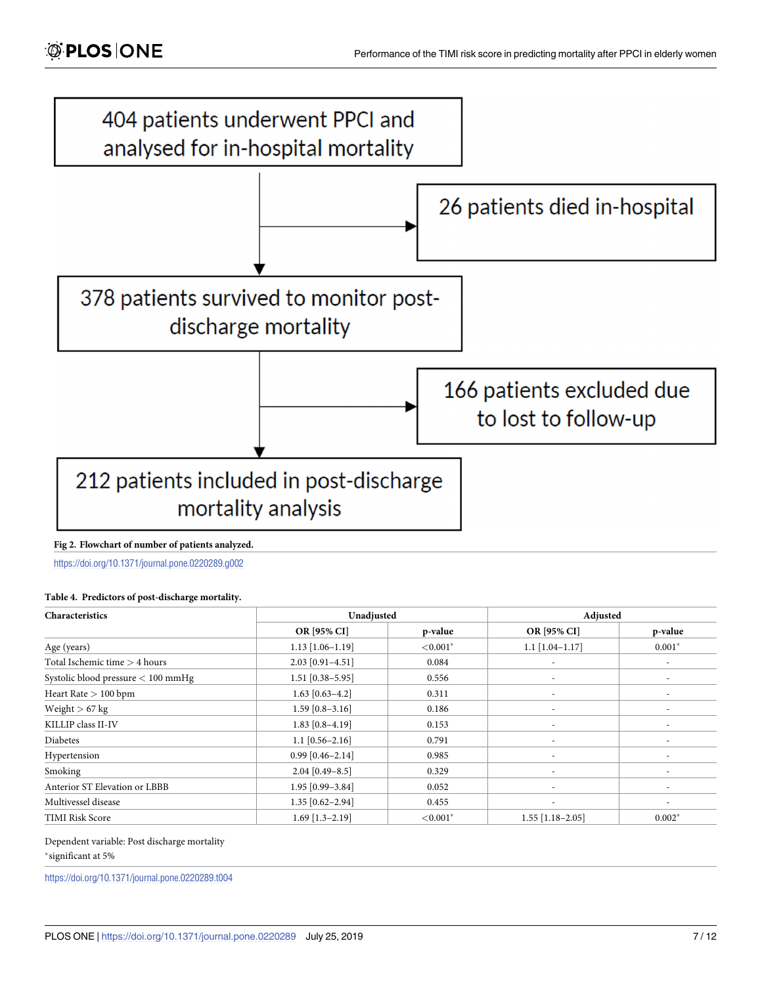<span id="page-8-0"></span>

#### **[Fig](#page-5-0) 2. Flowchart of number of patients analyzed.**

<https://doi.org/10.1371/journal.pone.0220289.g002>

#### **[Table](#page-6-0) 4. Predictors of post-discharge mortality.**

| Characteristics                      | Unadjusted         |             | Adjusted                 |                          |
|--------------------------------------|--------------------|-------------|--------------------------|--------------------------|
|                                      | OR [95% CI]        | p-value     | OR [95% CI]              | p-value                  |
| Age (years)                          | $1.13$ [1.06-1.19] | ${<}0.001*$ | $1.1$ [1.04-1.17]        | $0.001*$                 |
| Total Ischemic time $>$ 4 hours      | 2.03 [0.91-4.51]   | 0.084       | ٠                        |                          |
| Systolic blood pressure $< 100$ mmHg | $1.51$ [0.38-5.95] | 0.556       | $\overline{\phantom{a}}$ | ۰                        |
| Heart Rate $> 100$ bpm               | $1.63$ [0.63-4.2]  | 0.311       | ٠                        |                          |
| Weight $> 67$ kg                     | $1.59$ [0.8-3.16]  | 0.186       | ٠                        |                          |
| KILLIP class II-IV                   | $1.83$ [0.8-4.19]  | 0.153       | $\overline{\phantom{a}}$ |                          |
| Diabetes                             | $1.1$ [0.56-2.16]  | 0.791       | ٠                        |                          |
| Hypertension                         | $0.99$ [0.46-2.14] | 0.985       | ۰                        |                          |
| Smoking                              | $2.04$ [0.49-8.5]  | 0.329       | ٠                        |                          |
| Anterior ST Elevation or LBBB        | $1.95$ [0.99-3.84] | 0.052       | ٠                        | $\overline{\phantom{a}}$ |
| Multivessel disease                  | $1.35$ [0.62-2.94] | 0.455       | ٠                        | ٠                        |
| <b>TIMI Risk Score</b>               | $1.69$ [1.3-2.19]  | ${<}0.001*$ | $1.55$ [1.18-2.05]       | $0.002*$                 |

#### Dependent variable: Post discharge mortality

�significant at 5%

<https://doi.org/10.1371/journal.pone.0220289.t004>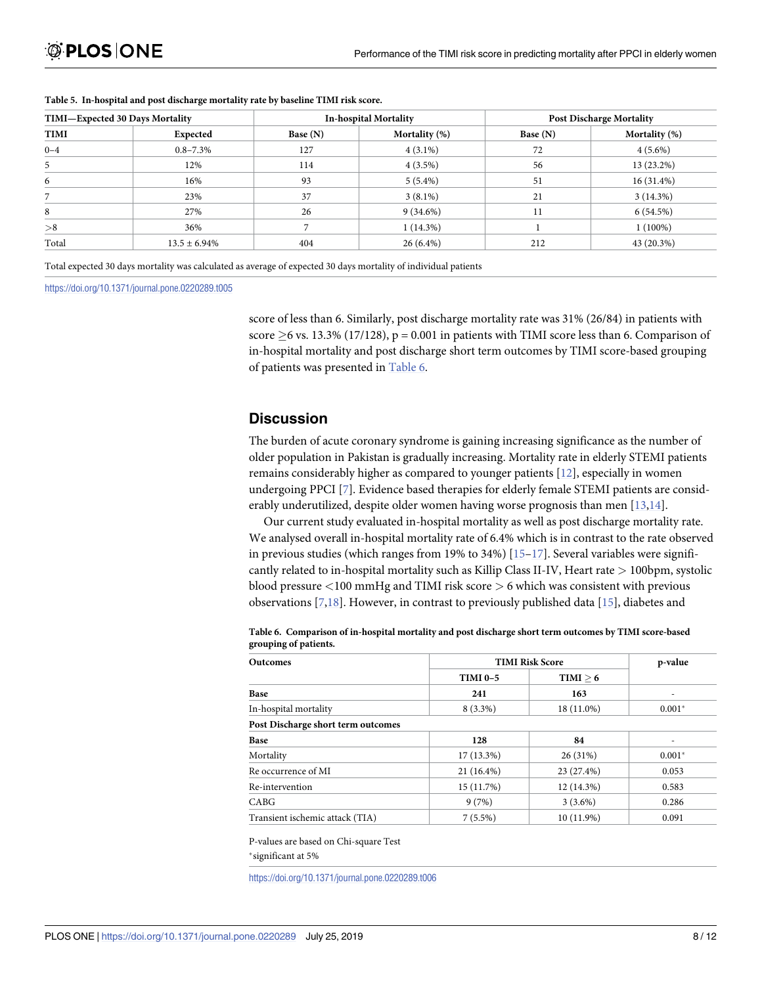| TIMI-Expected 30 Days Mortality |                   | <b>In-hospital Mortality</b> |               | <b>Post Discharge Mortality</b> |               |
|---------------------------------|-------------------|------------------------------|---------------|---------------------------------|---------------|
| <b>TIMI</b>                     | Expected          | Base $(N)$                   | Mortality (%) | Base $(N)$                      | Mortality (%) |
| $0 - 4$                         | $0.8 - 7.3\%$     | 127                          | $4(3.1\%)$    | 72                              | $4(5.6\%)$    |
|                                 | 12%               | 114                          | $4(3.5\%)$    | 56                              | 13 (23.2%)    |
| 6                               | 16%               | 93                           | $5(5.4\%)$    | 51                              | $16(31.4\%)$  |
|                                 | 23%               | 37                           | $3(8.1\%)$    | 21                              | 3(14.3%)      |
|                                 | 27%               | 26                           | $9(34.6\%)$   |                                 | 6(54.5%)      |
| > 8                             | 36%               |                              | $1(14.3\%)$   |                                 | $1(100\%)$    |
| Total                           | $13.5 \pm 6.94\%$ | 404                          | $26(6.4\%)$   | 212                             | 43 (20.3%)    |

#### <span id="page-9-0"></span>**[Table](#page-7-0) 5. In-hospital and post discharge mortality rate by baseline TIMI risk score.**

Total expected 30 days mortality was calculated as average of expected 30 days mortality of individual patients

<https://doi.org/10.1371/journal.pone.0220289.t005>

score of less than 6. Similarly, post discharge mortality rate was 31% (26/84) in patients with score  $\geq$  6 vs. 13.3% (17/128), p = 0.001 in patients with TIMI score less than 6. Comparison of in-hospital mortality and post discharge short term outcomes by TIMI score-based grouping of patients was presented in Table 6.

#### **Discussion**

The burden of acute coronary syndrome is gaining increasing significance as the number of older population in Pakistan is gradually increasing. Mortality rate in elderly STEMI patients remains considerably higher as compared to younger patients [\[12\]](#page-12-0), especially in women undergoing PPCI [[7](#page-12-0)]. Evidence based therapies for elderly female STEMI patients are considerably underutilized, despite older women having worse prognosis than men [\[13](#page-12-0),[14](#page-12-0)].

Our current study evaluated in-hospital mortality as well as post discharge mortality rate. We analysed overall in-hospital mortality rate of 6.4% which is in contrast to the rate observed in previous studies (which ranges from 19% to 34%)  $[15-17]$ . Several variables were significantly related to in-hospital mortality such as Killip Class II-IV, Heart rate *>* 100bpm, systolic blood pressure *<*100 mmHg and TIMI risk score *>* 6 which was consistent with previous observations [\[7,18\]](#page-12-0). However, in contrast to previously published data [[15](#page-12-0)], diabetes and

|                       | Table 6. Comparison of in-hospital mortality and post discharge short term outcomes by TIMI score-based |
|-----------------------|---------------------------------------------------------------------------------------------------------|
| grouping of patients. |                                                                                                         |
|                       |                                                                                                         |

| <b>Outcomes</b>                    | <b>TIMI Risk Score</b> | p-value    |          |
|------------------------------------|------------------------|------------|----------|
|                                    | <b>TIMI 0-5</b>        | TIMI > 6   |          |
| Base                               | 241                    | 163        |          |
| In-hospital mortality              | $8(3.3\%)$             | 18 (11.0%) | $0.001*$ |
| Post Discharge short term outcomes |                        |            |          |
| Base                               | 128                    | 84         |          |
| Mortality                          | $17(13.3\%)$           | 26 (31%)   | $0.001*$ |
| Re occurrence of MI                | $21(16.4\%)$           | 23 (27.4%) | 0.053    |
| Re-intervention                    | 15(11.7%)              | 12 (14.3%) | 0.583    |
| CABG                               | 9(7%)                  | $3(3.6\%)$ | 0.286    |
| Transient ischemic attack (TIA)    | $7(5.5\%)$             | 10 (11.9%) | 0.091    |

P-values are based on Chi-square Test

\*significant at 5%

<https://doi.org/10.1371/journal.pone.0220289.t006>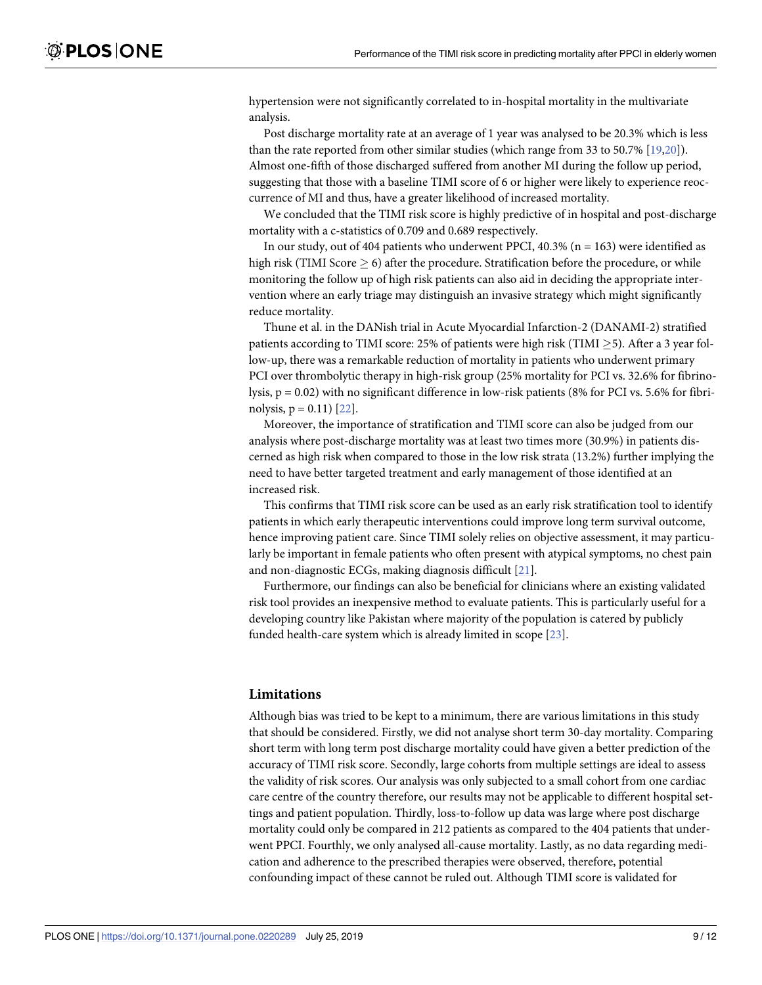<span id="page-10-0"></span>hypertension were not significantly correlated to in-hospital mortality in the multivariate analysis.

Post discharge mortality rate at an average of 1 year was analysed to be 20.3% which is less than the rate reported from other similar studies (which range from 33 to 50.7% [[19,20\]](#page-12-0)). Almost one-fifth of those discharged suffered from another MI during the follow up period, suggesting that those with a baseline TIMI score of 6 or higher were likely to experience reoccurrence of MI and thus, have a greater likelihood of increased mortality.

We concluded that the TIMI risk score is highly predictive of in hospital and post-discharge mortality with a c-statistics of 0.709 and 0.689 respectively.

In our study, out of 404 patients who underwent PPCI, 40.3% ( $n = 163$ ) were identified as high risk (TIMI Score  $> 6$ ) after the procedure. Stratification before the procedure, or while monitoring the follow up of high risk patients can also aid in deciding the appropriate intervention where an early triage may distinguish an invasive strategy which might significantly reduce mortality.

Thune et al. in the DANish trial in Acute Myocardial Infarction-2 (DANAMI-2) stratified patients according to TIMI score: 25% of patients were high risk (TIMI  $>$ 5). After a 3 year follow-up, there was a remarkable reduction of mortality in patients who underwent primary PCI over thrombolytic therapy in high-risk group (25% mortality for PCI vs. 32.6% for fibrinolysis,  $p = 0.02$ ) with no significant difference in low-risk patients (8% for PCI vs. 5.6% for fibrinolysis,  $p = 0.11$ )  $[22]$  $[22]$  $[22]$ .

Moreover, the importance of stratification and TIMI score can also be judged from our analysis where post-discharge mortality was at least two times more (30.9%) in patients discerned as high risk when compared to those in the low risk strata (13.2%) further implying the need to have better targeted treatment and early management of those identified at an increased risk.

This confirms that TIMI risk score can be used as an early risk stratification tool to identify patients in which early therapeutic interventions could improve long term survival outcome, hence improving patient care. Since TIMI solely relies on objective assessment, it may particularly be important in female patients who often present with atypical symptoms, no chest pain and non-diagnostic ECGs, making diagnosis difficult [[21](#page-12-0)].

Furthermore, our findings can also be beneficial for clinicians where an existing validated risk tool provides an inexpensive method to evaluate patients. This is particularly useful for a developing country like Pakistan where majority of the population is catered by publicly funded health-care system which is already limited in scope [[23](#page-13-0)].

#### **Limitations**

Although bias was tried to be kept to a minimum, there are various limitations in this study that should be considered. Firstly, we did not analyse short term 30-day mortality. Comparing short term with long term post discharge mortality could have given a better prediction of the accuracy of TIMI risk score. Secondly, large cohorts from multiple settings are ideal to assess the validity of risk scores. Our analysis was only subjected to a small cohort from one cardiac care centre of the country therefore, our results may not be applicable to different hospital settings and patient population. Thirdly, loss-to-follow up data was large where post discharge mortality could only be compared in 212 patients as compared to the 404 patients that underwent PPCI. Fourthly, we only analysed all-cause mortality. Lastly, as no data regarding medication and adherence to the prescribed therapies were observed, therefore, potential confounding impact of these cannot be ruled out. Although TIMI score is validated for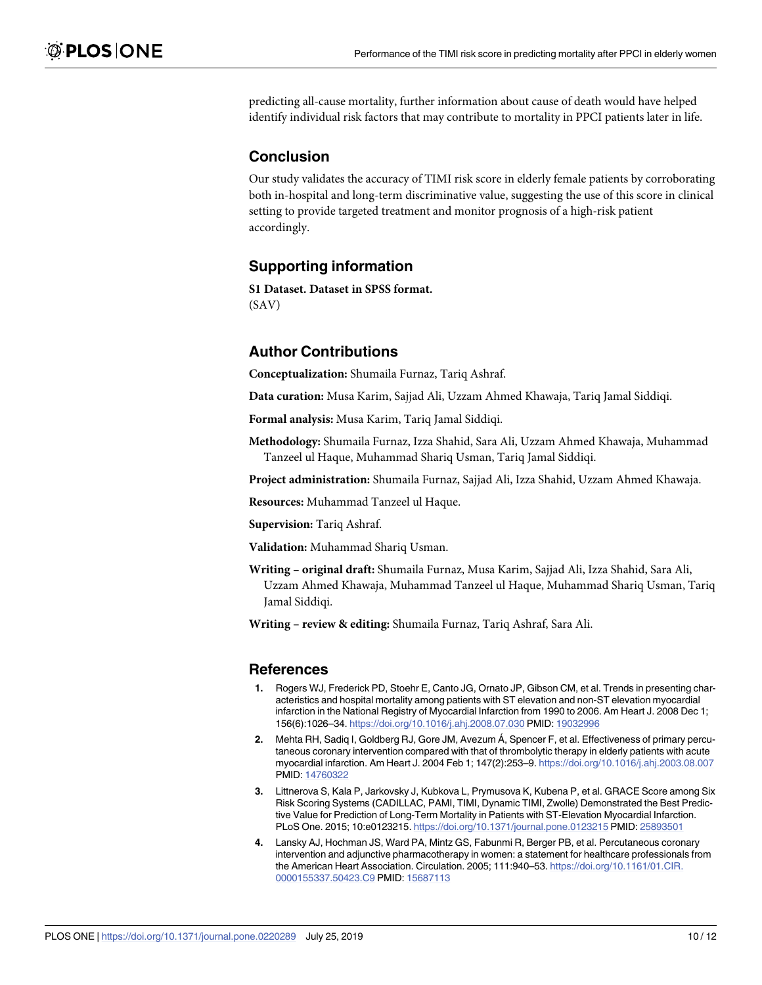<span id="page-11-0"></span>predicting all-cause mortality, further information about cause of death would have helped identify individual risk factors that may contribute to mortality in PPCI patients later in life.

# **Conclusion**

Our study validates the accuracy of TIMI risk score in elderly female patients by corroborating both in-hospital and long-term discriminative value, suggesting the use of this score in clinical setting to provide targeted treatment and monitor prognosis of a high-risk patient accordingly.

# **Supporting information**

**S1 [Dataset.](http://www.plosone.org/article/fetchSingleRepresentation.action?uri=info:doi/10.1371/journal.pone.0220289.s001) Dataset in SPSS format.** (SAV)

### **Author Contributions**

**Conceptualization:** Shumaila Furnaz, Tariq Ashraf.

**Data curation:** Musa Karim, Sajjad Ali, Uzzam Ahmed Khawaja, Tariq Jamal Siddiqi.

**Formal analysis:** Musa Karim, Tariq Jamal Siddiqi.

**Methodology:** Shumaila Furnaz, Izza Shahid, Sara Ali, Uzzam Ahmed Khawaja, Muhammad Tanzeel ul Haque, Muhammad Shariq Usman, Tariq Jamal Siddiqi.

**Project administration:** Shumaila Furnaz, Sajjad Ali, Izza Shahid, Uzzam Ahmed Khawaja.

**Resources:** Muhammad Tanzeel ul Haque.

**Supervision:** Tariq Ashraf.

**Validation:** Muhammad Shariq Usman.

**Writing – original draft:** Shumaila Furnaz, Musa Karim, Sajjad Ali, Izza Shahid, Sara Ali, Uzzam Ahmed Khawaja, Muhammad Tanzeel ul Haque, Muhammad Shariq Usman, Tariq Jamal Siddiqi.

**Writing – review & editing:** Shumaila Furnaz, Tariq Ashraf, Sara Ali.

#### **References**

- **[1](#page-3-0).** Rogers WJ, Frederick PD, Stoehr E, Canto JG, Ornato JP, Gibson CM, et al. Trends in presenting characteristics and hospital mortality among patients with ST elevation and non-ST elevation myocardial infarction in the National Registry of Myocardial Infarction from 1990 to 2006. Am Heart J. 2008 Dec 1; 156(6):1026–34. <https://doi.org/10.1016/j.ahj.2008.07.030> PMID: [19032996](http://www.ncbi.nlm.nih.gov/pubmed/19032996)
- **[2](#page-3-0).** Mehta RH, Sadiq I, Goldberg RJ, Gore JM, Avezum Á, Spencer F, et al. Effectiveness of primary percutaneous coronary intervention compared with that of thrombolytic therapy in elderly patients with acute myocardial infarction. Am Heart J. 2004 Feb 1; 147(2):253–9. <https://doi.org/10.1016/j.ahj.2003.08.007> PMID: [14760322](http://www.ncbi.nlm.nih.gov/pubmed/14760322)
- **[3](#page-3-0).** Littnerova S, Kala P, Jarkovsky J, Kubkova L, Prymusova K, Kubena P, et al. GRACE Score among Six Risk Scoring Systems (CADILLAC, PAMI, TIMI, Dynamic TIMI, Zwolle) Demonstrated the Best Predictive Value for Prediction of Long-Term Mortality in Patients with ST-Elevation Myocardial Infarction. PLoS One. 2015; 10:e0123215. <https://doi.org/10.1371/journal.pone.0123215> PMID: [25893501](http://www.ncbi.nlm.nih.gov/pubmed/25893501)
- **[4](#page-3-0).** Lansky AJ, Hochman JS, Ward PA, Mintz GS, Fabunmi R, Berger PB, et al. Percutaneous coronary intervention and adjunctive pharmacotherapy in women: a statement for healthcare professionals from the American Heart Association. Circulation. 2005; 111:940–53. [https://doi.org/10.1161/01.CIR.](https://doi.org/10.1161/01.CIR.0000155337.50423.C9) [0000155337.50423.C9](https://doi.org/10.1161/01.CIR.0000155337.50423.C9) PMID: [15687113](http://www.ncbi.nlm.nih.gov/pubmed/15687113)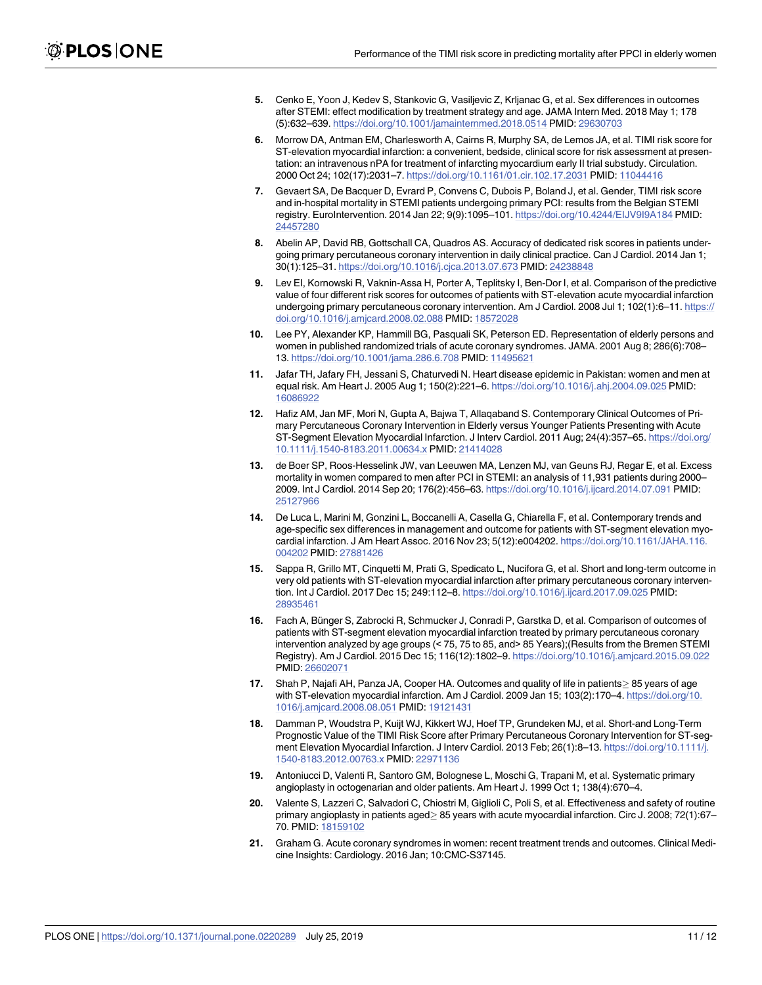- <span id="page-12-0"></span>**[5](#page-3-0).** Cenko E, Yoon J, Kedev S, Stankovic G, Vasiljevic Z, Krljanac G, et al. Sex differences in outcomes after STEMI: effect modification by treatment strategy and age. JAMA Intern Med. 2018 May 1; 178 (5):632–639. <https://doi.org/10.1001/jamainternmed.2018.0514> PMID: [29630703](http://www.ncbi.nlm.nih.gov/pubmed/29630703)
- **[6](#page-3-0).** Morrow DA, Antman EM, Charlesworth A, Cairns R, Murphy SA, de Lemos JA, et al. TIMI risk score for ST-elevation myocardial infarction: a convenient, bedside, clinical score for risk assessment at presentation: an intravenous nPA for treatment of infarcting myocardium early II trial substudy. Circulation. 2000 Oct 24; 102(17):2031–7. <https://doi.org/10.1161/01.cir.102.17.2031> PMID: [11044416](http://www.ncbi.nlm.nih.gov/pubmed/11044416)
- **[7](#page-3-0).** Gevaert SA, De Bacquer D, Evrard P, Convens C, Dubois P, Boland J, et al. Gender, TIMI risk score and in-hospital mortality in STEMI patients undergoing primary PCI: results from the Belgian STEMI registry. EuroIntervention. 2014 Jan 22; 9(9):1095–101. <https://doi.org/10.4244/EIJV9I9A184> PMID: [24457280](http://www.ncbi.nlm.nih.gov/pubmed/24457280)
- **8.** Abelin AP, David RB, Gottschall CA, Quadros AS. Accuracy of dedicated risk scores in patients undergoing primary percutaneous coronary intervention in daily clinical practice. Can J Cardiol. 2014 Jan 1; 30(1):125–31. <https://doi.org/10.1016/j.cjca.2013.07.673> PMID: [24238848](http://www.ncbi.nlm.nih.gov/pubmed/24238848)
- **[9](#page-3-0).** Lev EI, Kornowski R, Vaknin-Assa H, Porter A, Teplitsky I, Ben-Dor I, et al. Comparison of the predictive value of four different risk scores for outcomes of patients with ST-elevation acute myocardial infarction undergoing primary percutaneous coronary intervention. Am J Cardiol. 2008 Jul 1; 102(1):6–11. [https://](https://doi.org/10.1016/j.amjcard.2008.02.088) [doi.org/10.1016/j.amjcard.2008.02.088](https://doi.org/10.1016/j.amjcard.2008.02.088) PMID: [18572028](http://www.ncbi.nlm.nih.gov/pubmed/18572028)
- **[10](#page-3-0).** Lee PY, Alexander KP, Hammill BG, Pasquali SK, Peterson ED. Representation of elderly persons and women in published randomized trials of acute coronary syndromes. JAMA. 2001 Aug 8; 286(6):708– 13. <https://doi.org/10.1001/jama.286.6.708> PMID: [11495621](http://www.ncbi.nlm.nih.gov/pubmed/11495621)
- **[11](#page-3-0).** Jafar TH, Jafary FH, Jessani S, Chaturvedi N. Heart disease epidemic in Pakistan: women and men at equal risk. Am Heart J. 2005 Aug 1; 150(2):221–6. <https://doi.org/10.1016/j.ahj.2004.09.025> PMID: [16086922](http://www.ncbi.nlm.nih.gov/pubmed/16086922)
- **[12](#page-9-0).** Hafiz AM, Jan MF, Mori N, Gupta A, Bajwa T, Allaqaband S. Contemporary Clinical Outcomes of Primary Percutaneous Coronary Intervention in Elderly versus Younger Patients Presenting with Acute ST-Segment Elevation Myocardial Infarction. J Interv Cardiol. 2011 Aug; 24(4):357–65. [https://doi.org/](https://doi.org/10.1111/j.1540-8183.2011.00634.x) [10.1111/j.1540-8183.2011.00634.x](https://doi.org/10.1111/j.1540-8183.2011.00634.x) PMID: [21414028](http://www.ncbi.nlm.nih.gov/pubmed/21414028)
- **[13](#page-9-0).** de Boer SP, Roos-Hesselink JW, van Leeuwen MA, Lenzen MJ, van Geuns RJ, Regar E, et al. Excess mortality in women compared to men after PCI in STEMI: an analysis of 11,931 patients during 2000– 2009. Int J Cardiol. 2014 Sep 20; 176(2):456–63. <https://doi.org/10.1016/j.ijcard.2014.07.091> PMID: [25127966](http://www.ncbi.nlm.nih.gov/pubmed/25127966)
- **[14](#page-9-0).** De Luca L, Marini M, Gonzini L, Boccanelli A, Casella G, Chiarella F, et al. Contemporary trends and age-specific sex differences in management and outcome for patients with ST-segment elevation myocardial infarction. J Am Heart Assoc. 2016 Nov 23; 5(12):e004202. [https://doi.org/10.1161/JAHA.116.](https://doi.org/10.1161/JAHA.116.004202) [004202](https://doi.org/10.1161/JAHA.116.004202) PMID: [27881426](http://www.ncbi.nlm.nih.gov/pubmed/27881426)
- **[15](#page-9-0).** Sappa R, Grillo MT, Cinquetti M, Prati G, Spedicato L, Nucifora G, et al. Short and long-term outcome in very old patients with ST-elevation myocardial infarction after primary percutaneous coronary intervention. Int J Cardiol. 2017 Dec 15; 249:112–8. <https://doi.org/10.1016/j.ijcard.2017.09.025> PMID: [28935461](http://www.ncbi.nlm.nih.gov/pubmed/28935461)
- **16.** Fach A, Bünger S, Zabrocki R, Schmucker J, Conradi P, Garstka D, et al. Comparison of outcomes of patients with ST-segment elevation myocardial infarction treated by primary percutaneous coronary intervention analyzed by age groups (< 75, 75 to 85, and> 85 Years);(Results from the Bremen STEMI Registry). Am J Cardiol. 2015 Dec 15; 116(12):1802–9. <https://doi.org/10.1016/j.amjcard.2015.09.022> PMID: [26602071](http://www.ncbi.nlm.nih.gov/pubmed/26602071)
- [17](#page-9-0). Shah P, Najafi AH, Panza JA, Cooper HA. Outcomes and quality of life in patients  $\geq$  85 years of age with ST-elevation myocardial infarction. Am J Cardiol. 2009 Jan 15; 103(2):170–4. [https://doi.org/10.](https://doi.org/10.1016/j.amjcard.2008.08.051) [1016/j.amjcard.2008.08.051](https://doi.org/10.1016/j.amjcard.2008.08.051) PMID: [19121431](http://www.ncbi.nlm.nih.gov/pubmed/19121431)
- **[18](#page-9-0).** Damman P, Woudstra P, Kuijt WJ, Kikkert WJ, Hoef TP, Grundeken MJ, et al. Short-and Long-Term Prognostic Value of the TIMI Risk Score after Primary Percutaneous Coronary Intervention for ST-segment Elevation Myocardial Infarction. J Interv Cardiol. 2013 Feb; 26(1):8–13. [https://doi.org/10.1111/j.](https://doi.org/10.1111/j.1540-8183.2012.00763.x) [1540-8183.2012.00763.x](https://doi.org/10.1111/j.1540-8183.2012.00763.x) PMID: [22971136](http://www.ncbi.nlm.nih.gov/pubmed/22971136)
- **[19](#page-10-0).** Antoniucci D, Valenti R, Santoro GM, Bolognese L, Moschi G, Trapani M, et al. Systematic primary angioplasty in octogenarian and older patients. Am Heart J. 1999 Oct 1; 138(4):670–4.
- **[20](#page-10-0).** Valente S, Lazzeri C, Salvadori C, Chiostri M, Giglioli C, Poli S, et al. Effectiveness and safety of routine primary angioplasty in patients aged > 85 years with acute myocardial infarction. Circ J. 2008; 72(1):67-70. PMID: [18159102](http://www.ncbi.nlm.nih.gov/pubmed/18159102)
- **[21](#page-10-0).** Graham G. Acute coronary syndromes in women: recent treatment trends and outcomes. Clinical Medicine Insights: Cardiology. 2016 Jan; 10:CMC-S37145.